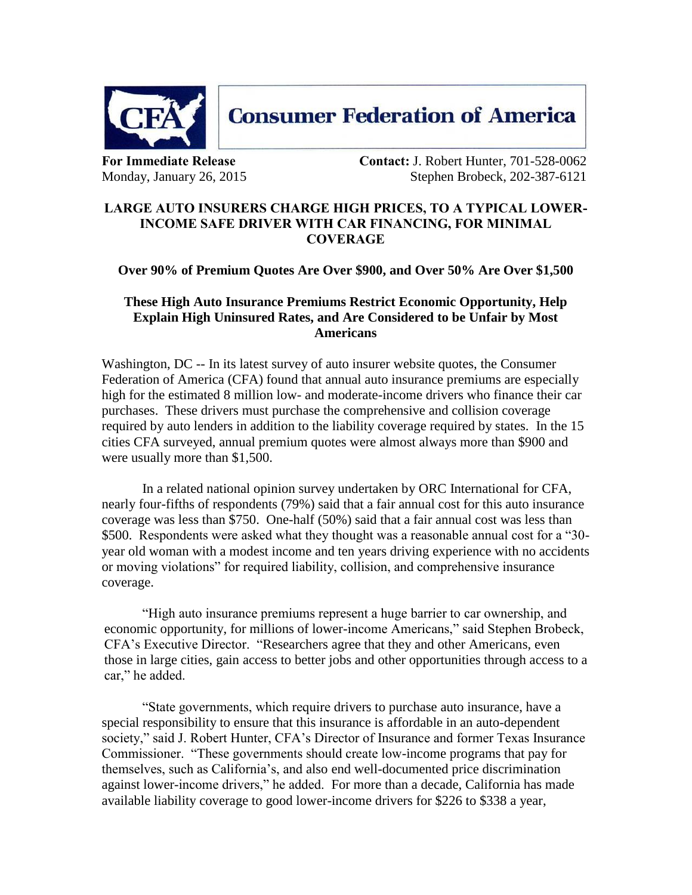

**For Immediate Release Contact:** J. Robert Hunter, 701-528-0062 Monday, January 26, 2015 Stephen Brobeck, 202-387-6121

## **LARGE AUTO INSURERS CHARGE HIGH PRICES, TO A TYPICAL LOWER-INCOME SAFE DRIVER WITH CAR FINANCING, FOR MINIMAL COVERAGE**

**Consumer Federation of America** 

## **Over 90% of Premium Quotes Are Over \$900, and Over 50% Are Over \$1,500**

## **These High Auto Insurance Premiums Restrict Economic Opportunity, Help Explain High Uninsured Rates, and Are Considered to be Unfair by Most Americans**

Washington, DC -- In its latest survey of auto insurer website quotes, the Consumer Federation of America (CFA) found that annual auto insurance premiums are especially high for the estimated 8 million low- and moderate-income drivers who finance their car purchases. These drivers must purchase the comprehensive and collision coverage required by auto lenders in addition to the liability coverage required by states. In the 15 cities CFA surveyed, annual premium quotes were almost always more than \$900 and were usually more than \$1,500.

In a related national opinion survey undertaken by ORC International for CFA, nearly four-fifths of respondents (79%) said that a fair annual cost for this auto insurance coverage was less than \$750. One-half (50%) said that a fair annual cost was less than \$500. Respondents were asked what they thought was a reasonable annual cost for a "30 year old woman with a modest income and ten years driving experience with no accidents or moving violations" for required liability, collision, and comprehensive insurance coverage.

"High auto insurance premiums represent a huge barrier to car ownership, and economic opportunity, for millions of lower-income Americans," said Stephen Brobeck, CFA's Executive Director. "Researchers agree that they and other Americans, even those in large cities, gain access to better jobs and other opportunities through access to a car," he added.

"State governments, which require drivers to purchase auto insurance, have a special responsibility to ensure that this insurance is affordable in an auto-dependent society," said J. Robert Hunter, CFA's Director of Insurance and former Texas Insurance Commissioner. "These governments should create low-income programs that pay for themselves, such as California's, and also end well-documented price discrimination against lower-income drivers," he added. For more than a decade, California has made available liability coverage to good lower-income drivers for \$226 to \$338 a year,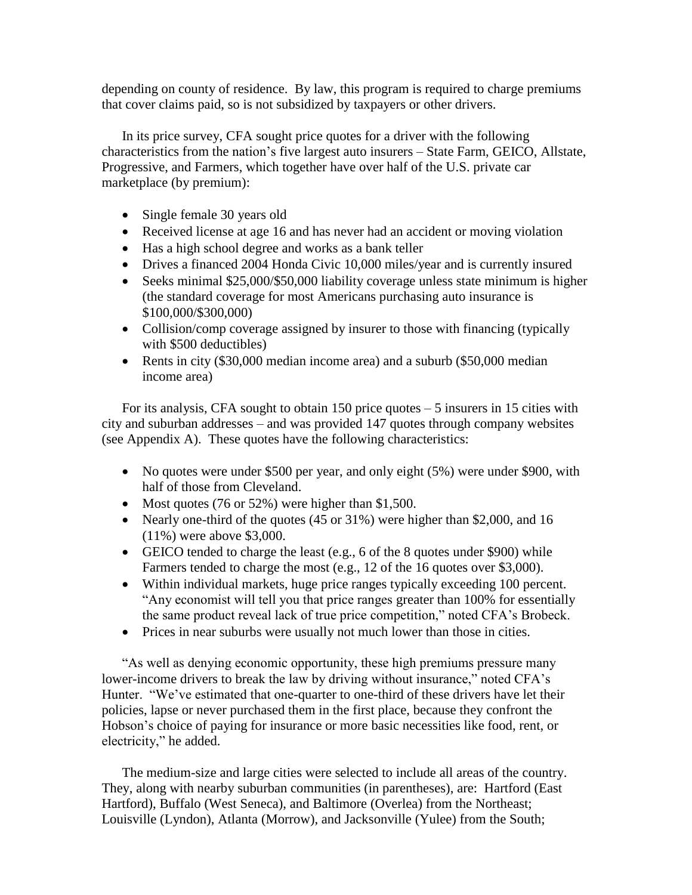depending on county of residence. By law, this program is required to charge premiums that cover claims paid, so is not subsidized by taxpayers or other drivers.

In its price survey, CFA sought price quotes for a driver with the following characteristics from the nation's five largest auto insurers – State Farm, GEICO, Allstate, Progressive, and Farmers, which together have over half of the U.S. private car marketplace (by premium):

- Single female 30 years old
- Received license at age 16 and has never had an accident or moving violation
- Has a high school degree and works as a bank teller
- Drives a financed 2004 Honda Civic 10,000 miles/year and is currently insured
- Seeks minimal \$25,000/\$50,000 liability coverage unless state minimum is higher (the standard coverage for most Americans purchasing auto insurance is \$100,000/\$300,000)
- Collision/comp coverage assigned by insurer to those with financing (typically with \$500 deductibles)
- Rents in city (\$30,000 median income area) and a suburb (\$50,000 median income area)

For its analysis, CFA sought to obtain 150 price quotes – 5 insurers in 15 cities with city and suburban addresses – and was provided 147 quotes through company websites (see Appendix A). These quotes have the following characteristics:

- No quotes were under \$500 per year, and only eight (5%) were under \$900, with half of those from Cleveland.
- Most quotes (76 or 52%) were higher than \$1,500.
- Nearly one-third of the quotes (45 or 31%) were higher than \$2,000, and 16 (11%) were above \$3,000.
- GEICO tended to charge the least (e.g., 6 of the 8 quotes under \$900) while Farmers tended to charge the most (e.g., 12 of the 16 quotes over \$3,000).
- Within individual markets, huge price ranges typically exceeding 100 percent. "Any economist will tell you that price ranges greater than 100% for essentially the same product reveal lack of true price competition," noted CFA's Brobeck.
- Prices in near suburbs were usually not much lower than those in cities.

"As well as denying economic opportunity, these high premiums pressure many lower-income drivers to break the law by driving without insurance," noted CFA's Hunter. "We've estimated that one-quarter to one-third of these drivers have let their policies, lapse or never purchased them in the first place, because they confront the Hobson's choice of paying for insurance or more basic necessities like food, rent, or electricity," he added.

The medium-size and large cities were selected to include all areas of the country. They, along with nearby suburban communities (in parentheses), are: Hartford (East Hartford), Buffalo (West Seneca), and Baltimore (Overlea) from the Northeast; Louisville (Lyndon), Atlanta (Morrow), and Jacksonville (Yulee) from the South;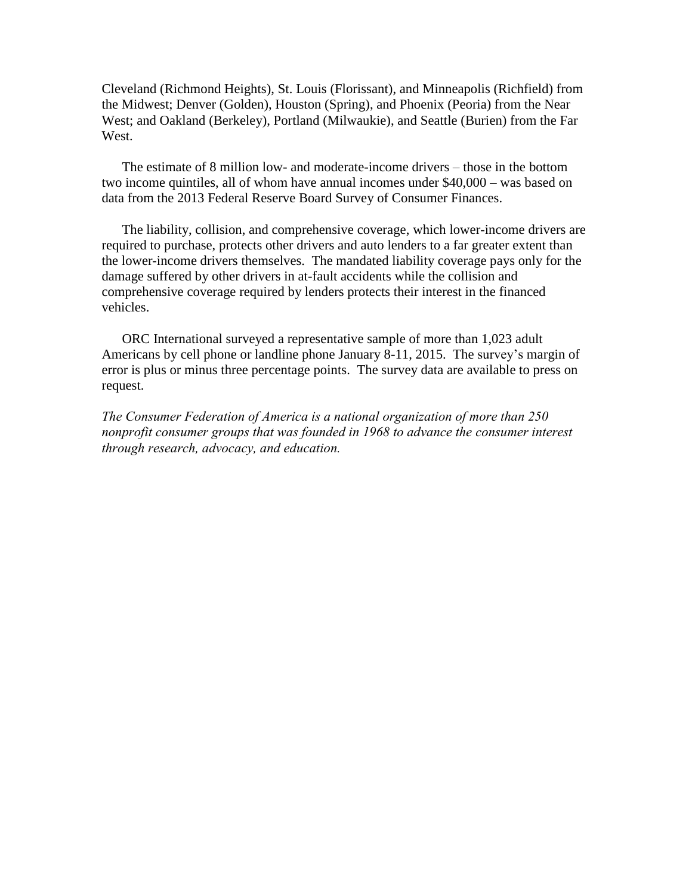Cleveland (Richmond Heights), St. Louis (Florissant), and Minneapolis (Richfield) from the Midwest; Denver (Golden), Houston (Spring), and Phoenix (Peoria) from the Near West; and Oakland (Berkeley), Portland (Milwaukie), and Seattle (Burien) from the Far West.

The estimate of 8 million low- and moderate-income drivers – those in the bottom two income quintiles, all of whom have annual incomes under \$40,000 – was based on data from the 2013 Federal Reserve Board Survey of Consumer Finances.

The liability, collision, and comprehensive coverage, which lower-income drivers are required to purchase, protects other drivers and auto lenders to a far greater extent than the lower-income drivers themselves. The mandated liability coverage pays only for the damage suffered by other drivers in at-fault accidents while the collision and comprehensive coverage required by lenders protects their interest in the financed vehicles.

ORC International surveyed a representative sample of more than 1,023 adult Americans by cell phone or landline phone January 8-11, 2015. The survey's margin of error is plus or minus three percentage points. The survey data are available to press on request.

*The Consumer Federation of America is a national organization of more than 250 nonprofit consumer groups that was founded in 1968 to advance the consumer interest through research, advocacy, and education.*